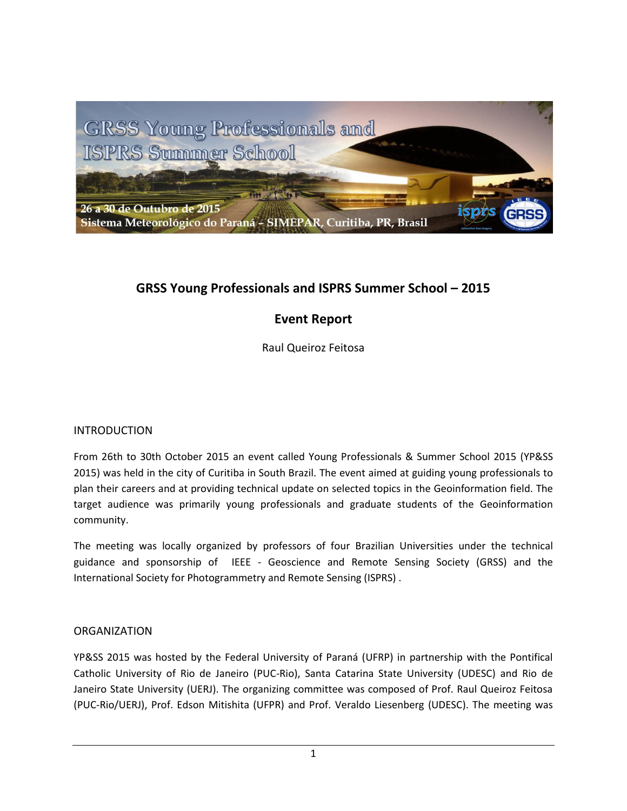

# **GRSS Young Professionals and ISPRS Summer School – 2015**

# **Event Report**

Raul Queiroz Feitosa

## INTRODUCTION

From 26th to 30th October 2015 an event called Young Professionals & Summer School 2015 (YP&SS 2015) was held in the city of Curitiba in South Brazil. The event aimed at guiding young professionals to plan their careers and at providing technical update on selected topics in the Geoinformation field. The target audience was primarily young professionals and graduate students of the Geoinformation community.

The meeting was locally organized by professors of four Brazilian Universities under the technical guidance and sponsorship of IEEE - Geoscience and Remote Sensing Society (GRSS) and the International Society for Photogrammetry and Remote Sensing (ISPRS) .

## ORGANIZATION

YP&SS 2015 was hosted by the Federal University of Paraná [\(UFRP\)](http://www.ufpr.br/portalufpr/) in partnership with the Pontifical Catholic University of Rio de Janeiro (PUC-Rio), Santa Catarina State University [\(UDESC\)](http://www.udesc.br/) and Rio de Janeiro State University (UERJ). The organizing committee was composed of Prof. Raul Queiroz Feitosa [\(PUC-Rio/](http://www.puc-rio.br/)[UERJ\)](http://www.uerj.br/), Prof. Edson Mitishita (UFPR) and Prof. Veraldo Liesenberg (UDESC). The meeting was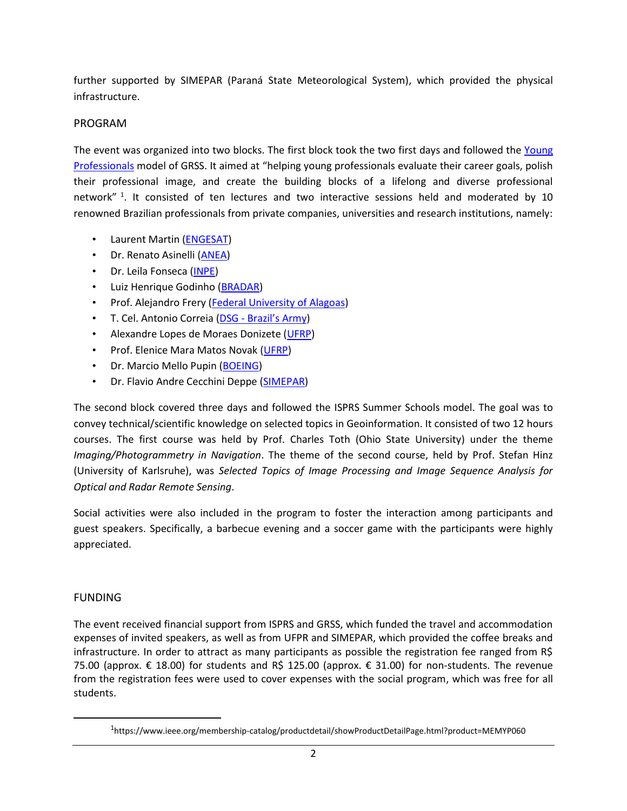further supported by [SIMEPAR](http://www.simepar.br/) (Paraná State Meteorological System), which provided the physical infrastructure.

# PROGRAM

The event was organized into two blocks. The first block took the two first days and followed the Young [Professionals](https://www.ieee.org/membership-catalog/productdetail/showProductDetailPage.html?product=MEMYP060) model of GRSS. It aimed at "helping young professionals evaluate their career goals, polish their professional image, and create the building blocks of a lifelong and diverse professional network"<sup>1</sup>. It consisted of ten lectures and two interactive sessions held and moderated by 10 renowned Brazilian professionals from private companies, universities and research institutions, namely:

- Laurent Martin [\(ENGESAT\)](http://www.engesat.com.br/)
- Dr. Renato Asinelli [\(ANEA\)](http://www.anea.org.br/)
- Dr. Leila Fonseca [\(INPE\)](http://www.inpe.br/)
- Luiz Henrique Godinho [\(BRADAR\)](http://www.bradar.com.br/en/)
- Prof. Alejandro Frery [\(Federal University of Alagoas\)](http://www.ufal.edu.br/)
- T. Cel. Antonio Correia (DSG [Brazil's](http://www.dsg.eb.mil.br/) Army)
- Alexandre Lopes de Moraes Donizete [\(UFRP\)](http://www.ufpr.br/portalufpr/)
- Prof. Elenice Mara Matos Novak [\(UFRP\)](http://www.ufpr.br/portalufpr/)
- Dr. Marcio Mello Pupin [\(BOEING\)](http://www.boeing.com.br/A-Boeing-no-Brasil/Pesquisa-Tecnologia)
- Dr. Flavio Andre Cecchini Deppe [\(SIMEPAR\)](http://www.simepar.br/)

The second block covered three days and followed the ISPRS Summer Schools model. The goal was to convey technical/scientific knowledge on selected topics in Geoinformation. It consisted of two 12 hours courses. The first course was held by Prof. Charles Toth (Ohio State University) under the theme *Imaging/Photogrammetry in Navigation*. The theme of the second course, held by Prof. Stefan Hinz (University of Karlsruhe), was *Selected Topics of Image Processing and Image Sequence Analysis for Optical and Radar Remote Sensing*.

Social activities were also included in the program to foster the interaction among participants and guest speakers. Specifically, a barbecue evening and a soccer game with the participants were highly appreciated.

# FUNDING

 $\overline{\phantom{a}}$ 

The event received financial support from ISPRS and GRSS, which funded the travel and accommodation expenses of invited speakers, as well as from UFPR and SIMEPAR, which provided the coffee breaks and infrastructure. In order to attract as many participants as possible the registration fee ranged from R\$ 75.00 (approx. € 18.00) for students and R\$ 125.00 (approx. € 31.00) for non-students. The revenue from the registration fees were used to cover expenses with the social program, which was free for all students.

<sup>&</sup>lt;sup>1</sup>https://www.ieee.org/membership-catalog/productdetail/showProductDetailPage.html?product=MEMYP060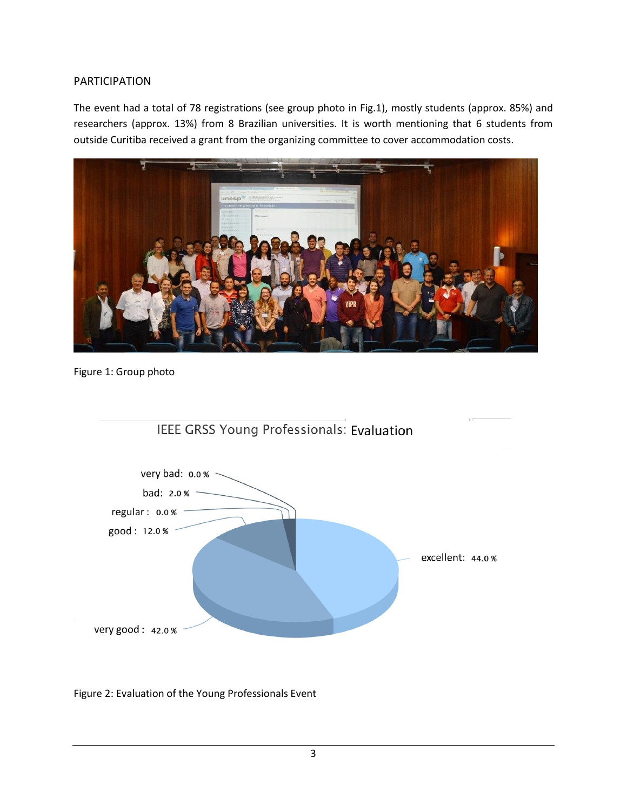#### PARTICIPATION

The event had a total of 78 registrations (see group photo in Fig.1), mostly students (approx. 85%) and researchers (approx. 13%) from 8 Brazilian universities. It is worth mentioning that 6 students from outside Curitiba received a grant from the organizing committee to cover accommodation costs.



Figure 1: Group photo





Figure 2: Evaluation of the Young Professionals Event